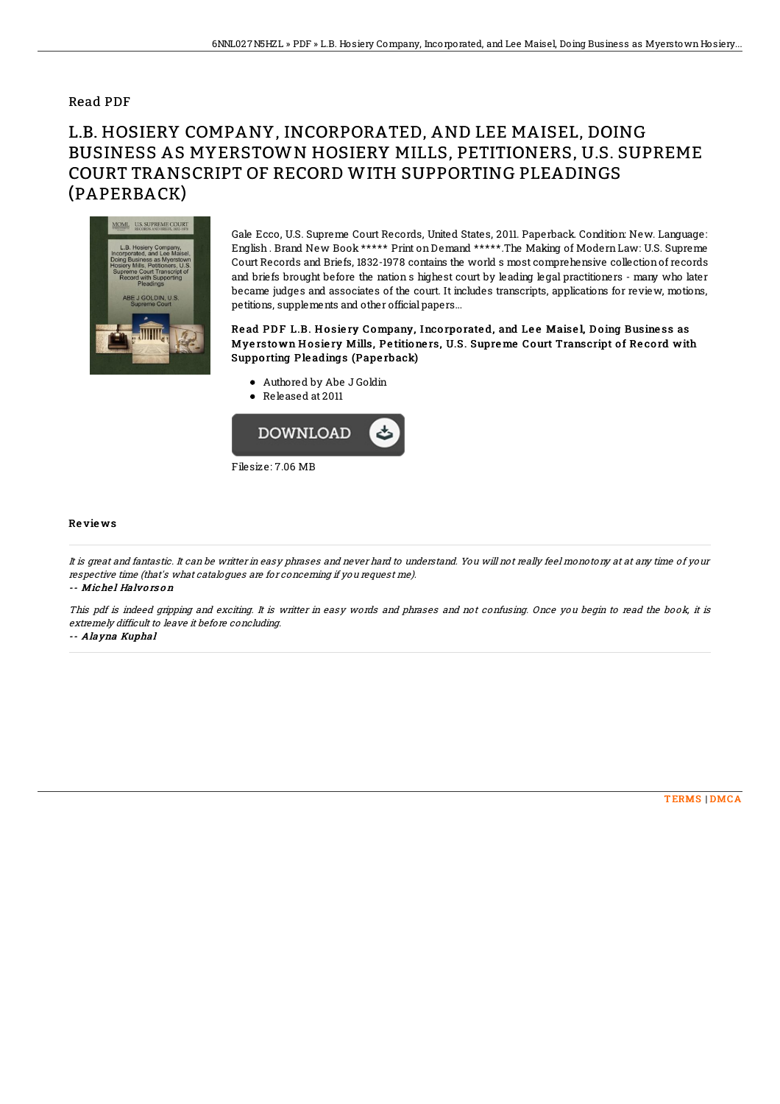### Read PDF

# L.B. HOSIERY COMPANY, INCORPORATED, AND LEE MAISEL, DOING BUSINESS AS MYERSTOWN HOSIERY MILLS, PETITIONERS, U.S. SUPREME COURT TRANSCRIPT OF RECORD WITH SUPPORTING PLEADINGS (PAPERBACK)



Gale Ecco, U.S. Supreme Court Records, United States, 2011. Paperback. Condition: New. Language: English . Brand New Book \*\*\*\*\* Print on Demand \*\*\*\*\*.The Making of Modern Law: U.S. Supreme Court Records and Briefs, 1832-1978 contains the world s most comprehensive collectionof records and briefs brought before the nation s highest court by leading legal practitioners - many who later became judges and associates of the court. It includes transcripts, applications for review, motions, petitions, supplements and other official papers...

#### Read PDF L.B. Hosiery Company, Incorporated, and Lee Maisel, Doing Business as Myerstown Hosiery Mills, Petitioners, U.S. Supreme Court Transcript of Record with Suppo rting Ple adings (Pape rback)

- Authored by Abe J Goldin
- Released at 2011



#### Re vie ws

It is great and fantastic. It can be writter in easy phrases and never hard to understand. You will not really feel monotony at at any time of your respective time (that's what catalogues are for concerning if you request me).

-- Michel Halvors on

This pdf is indeed gripping and exciting. It is writter in easy words and phrases and not confusing. Once you begin to read the book, it is extremely difficult to leave it before concluding.

-- Alayna Kuphal